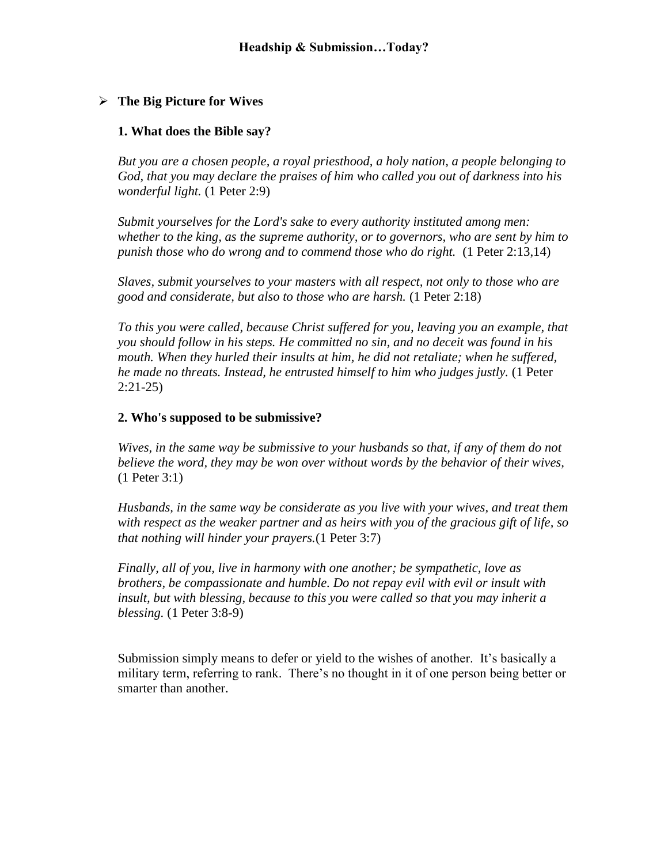# **The Big Picture for Wives**

## **1. What does the Bible say?**

*But you are a chosen people, a royal priesthood, a holy nation, a people belonging to God, that you may declare the praises of him who called you out of darkness into his wonderful light.* (1 Peter 2:9)

*Submit yourselves for the Lord's sake to every authority instituted among men: whether to the king, as the supreme authority, or to governors, who are sent by him to punish those who do wrong and to commend those who do right.* (1 Peter 2:13,14)

*Slaves, submit yourselves to your masters with all respect, not only to those who are good and considerate, but also to those who are harsh.* (1 Peter 2:18)

*To this you were called, because Christ suffered for you, leaving you an example, that you should follow in his steps. He committed no sin, and no deceit was found in his mouth. When they hurled their insults at him, he did not retaliate; when he suffered, he made no threats. Instead, he entrusted himself to him who judges justly.* (1 Peter 2:21-25)

## **2. Who's supposed to be submissive?**

*Wives, in the same way be submissive to your husbands so that, if any of them do not believe the word, they may be won over without words by the behavior of their wives,*  (1 Peter 3:1)

*Husbands, in the same way be considerate as you live with your wives, and treat them with respect as the weaker partner and as heirs with you of the gracious gift of life, so that nothing will hinder your prayers.*(1 Peter 3:7)

*Finally, all of you, live in harmony with one another; be sympathetic, love as brothers, be compassionate and humble. Do not repay evil with evil or insult with insult, but with blessing, because to this you were called so that you may inherit a blessing.* (1 Peter 3:8-9)

Submission simply means to defer or yield to the wishes of another. It's basically a military term, referring to rank. There's no thought in it of one person being better or smarter than another.